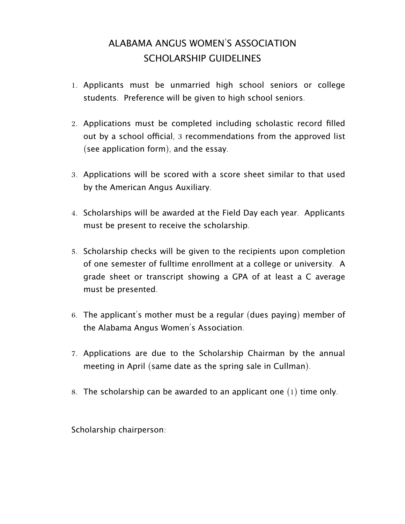## ALABAMA ANGUS WOMEN'S ASSOCIATION SCHOLARSHIP GUIDELINES

- 1. Applicants must be unmarried high school seniors or college students. Preference will be given to high school seniors.
- 2. Applications must be completed including scholastic record filled out by a school official, 3 recommendations from the approved list (see application form), and the essay.
- 3. Applications will be scored with a score sheet similar to that used by the American Angus Auxiliary.
- 4. Scholarships will be awarded at the Field Day each year. Applicants must be present to receive the scholarship.
- 5. Scholarship checks will be given to the recipients upon completion of one semester of fulltime enrollment at a college or university. A grade sheet or transcript showing a GPA of at least a C average must be presented.
- 6. The applicant's mother must be a regular (dues paying) member of the Alabama Angus Women's Association.
- 7. Applications are due to the Scholarship Chairman by the annual meeting in April (same date as the spring sale in Cullman).
- 8. The scholarship can be awarded to an applicant one  $(1)$  time only.

Scholarship chairperson: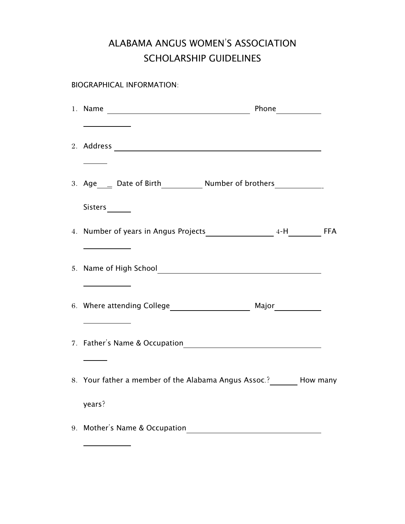## ALABAMA ANGUS WOMEN'S ASSOCIATION SCHOLARSHIP GUIDELINES

BIOGRAPHICAL INFORMATION:

 $\overline{a}$ 

| 3. Age____ Date of Birth_____________ Number of brothers________________________ |  |
|----------------------------------------------------------------------------------|--|
| Sisters_______                                                                   |  |
|                                                                                  |  |
|                                                                                  |  |
| <u> 1989 - Johann Barn, amerikansk politiker</u>                                 |  |
| <u> 1989 - Johann Barnett, fransk konge</u>                                      |  |
|                                                                                  |  |
| 8. Your father a member of the Alabama Angus Assoc.? _______ How many            |  |
| years?                                                                           |  |
| 9. Mother's Name & Occupation                                                    |  |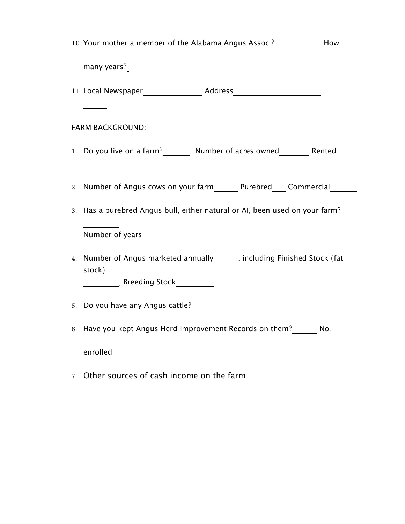|                         | 10. Your mother a member of the Alabama Angus Assoc.? _______________ How              |     |  |
|-------------------------|----------------------------------------------------------------------------------------|-----|--|
|                         | many years?                                                                            |     |  |
|                         |                                                                                        |     |  |
|                         |                                                                                        |     |  |
| <b>FARM BACKGROUND:</b> |                                                                                        |     |  |
|                         | 1. Do you live on a farm? Number of acres owned Rented                                 |     |  |
|                         |                                                                                        |     |  |
|                         | 2. Number of Angus cows on your farm Purebred Commercial                               |     |  |
|                         | 3. Has a purebred Angus bull, either natural or AI, been used on your farm?            |     |  |
|                         | Number of years                                                                        |     |  |
|                         | 4. Number of Angus marketed annually [11] [12] including Finished Stock (fat<br>stock) |     |  |
|                         | _____________, Breeding Stock_____________                                             |     |  |
|                         | 5. Do you have any Angus cattle?                                                       |     |  |
|                         | 6. Have you kept Angus Herd Improvement Records on them?                               | No. |  |
|                         | enrolled                                                                               |     |  |
|                         | 7. Other sources of cash income on the farm                                            |     |  |

 $\overline{a}$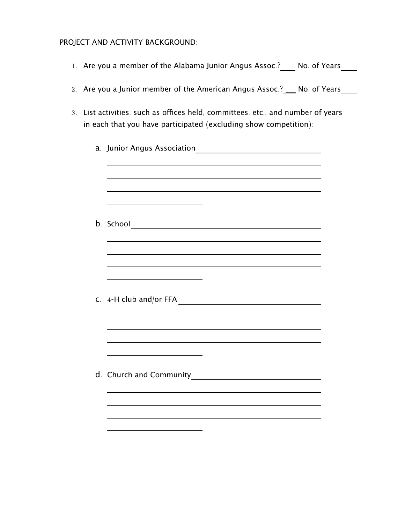## PROJECT AND ACTIVITY BACKGROUND:

- 1. Are you a member of the Alabama Junior Angus Assoc.?\_\_\_\_ No. of Years\_\_\_\_
- 2. Are you a Junior member of the American Angus Assoc.?  $\frac{1}{\sqrt{1-\frac{1}{n}}}$  No. of Years
- 3. List activities, such as offices held, committees, etc., and number of years in each that you have participated (excluding show competition):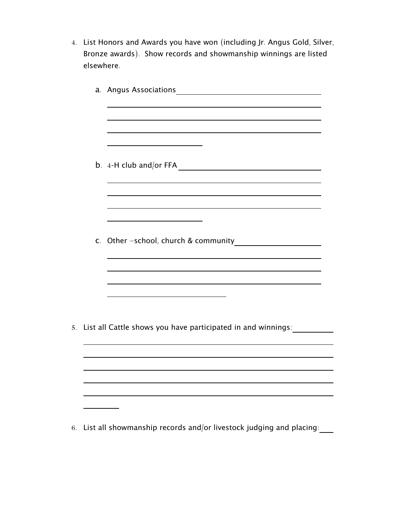4. List Honors and Awards you have won (including Jr. Angus Gold, Silver, Bronze awards). Show records and showmanship winnings are listed elsewhere.

|  | 5. List all Cattle shows you have participated in and winnings: |
|--|-----------------------------------------------------------------|
|  |                                                                 |
|  |                                                                 |
|  |                                                                 |
|  |                                                                 |
|  |                                                                 |

6. List all showmanship records and/or livestock judging and placing: $\frac{1}{\sqrt{1-\frac{1}{n}}}$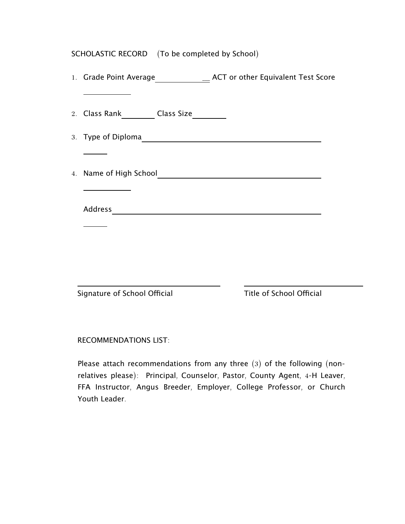| SCHOLASTIC RECORD (To be completed by School) |
|-----------------------------------------------|
|                                               |
| 2. Class Rank__________ Class Size__________  |
|                                               |
|                                               |
|                                               |
|                                               |
|                                               |
|                                               |
|                                               |
|                                               |
|                                               |

Signature of School Official Title of School Official

 $\overline{a}$ 

RECOMMENDATIONS LIST:

Please attach recommendations from any three  $(3)$  of the following (nonrelatives please): Principal, Counselor, Pastor, County Agent, 4-H Leaver, FFA Instructor, Angus Breeder, Employer, College Professor, or Church Youth Leader.